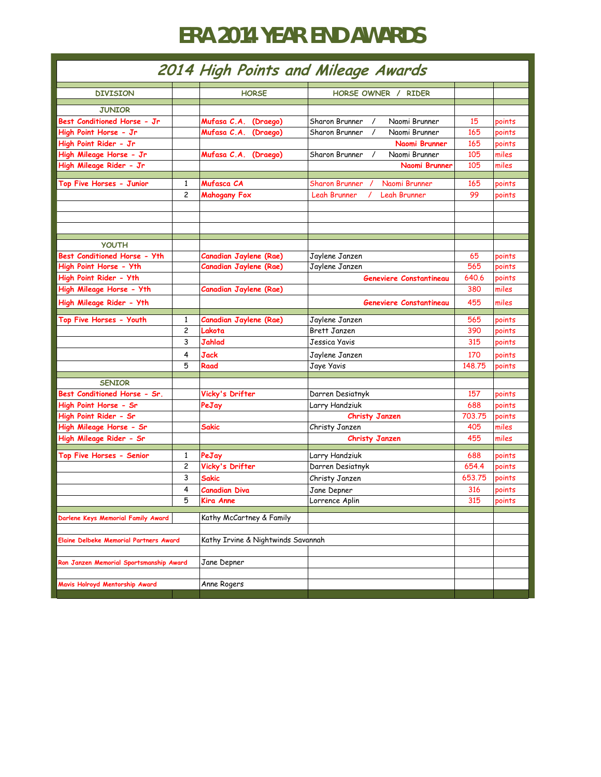## **ERA 2014 YEAR END AWARDS**

| 2014 High Points and Mileage Awards           |                         |                                    |                                             |        |        |  |
|-----------------------------------------------|-------------------------|------------------------------------|---------------------------------------------|--------|--------|--|
| <b>DIVISION</b>                               |                         | <b>HORSE</b>                       | HORSE OWNER / RIDER                         |        |        |  |
|                                               |                         |                                    |                                             |        |        |  |
| <b>JUNIOR</b>                                 |                         |                                    |                                             |        |        |  |
| Best Conditioned Horse - Jr                   |                         | Mufasa C.A.<br>(Draego)            | Sharon Brunner<br>Naomi Brunner<br>$\prime$ | 15     | points |  |
| High Point Horse - Jr                         |                         | Mufasa C.A. (Draego)               | Sharon Brunner<br>Naomi Brunner             | 165    | points |  |
| High Point Rider - Jr                         |                         |                                    | Naomi Brunner                               | 165    | points |  |
| High Mileage Horse - Jr                       |                         | Mufasa C.A. (Draego)               | Sharon Brunner<br>Naomi Brunner             | 105    | miles  |  |
| High Mileage Rider - Jr                       |                         |                                    | Naomi Brunner                               | 105    | miles  |  |
| Top Five Horses - Junior                      | 1                       | Mufasca CA                         | Naomi Brunner<br><b>Sharon Brunner</b>      | 165    | points |  |
|                                               | $\overline{c}$          | <b>Mahogany Fox</b>                | Leah Brunner<br>Leah Brunner                | 99     | points |  |
|                                               |                         |                                    |                                             |        |        |  |
|                                               |                         |                                    |                                             |        |        |  |
|                                               |                         |                                    |                                             |        |        |  |
|                                               |                         |                                    |                                             |        |        |  |
| <b>YOUTH</b>                                  |                         |                                    |                                             |        |        |  |
| Best Conditioned Horse - Yth                  |                         | Canadian Jaylene (Rae)             | Jaylene Janzen                              | 65     | points |  |
| High Point Horse - Yth                        |                         | Canadian Jaylene (Rae)             | Jaylene Janzen                              | 565    | points |  |
| High Point Rider - Yth                        |                         |                                    | <b>Geneviere Constantineau</b>              | 640.6  | points |  |
| High Mileage Horse - Yth                      |                         | Canadian Jaylene (Rae)             |                                             | 380    | miles  |  |
| High Mileage Rider - Yth                      |                         |                                    | Geneviere Constantineau                     | 455    | miles  |  |
| <b>Top Five Horses - Youth</b>                | 1                       | Canadian Jaylene (Rae)             | Jaylene Janzen                              | 565    | points |  |
|                                               | $\overline{\mathbf{c}}$ | Lakota                             | Brett Janzen                                | 390    | points |  |
|                                               | 3                       | Jahlad                             | Jessica Yavis                               | 315    | points |  |
|                                               | 4                       | <b>Jack</b>                        | Jaylene Janzen                              | 170    | points |  |
|                                               | 5                       | Raad                               | Jaye Yavis                                  | 148,75 | points |  |
|                                               |                         |                                    |                                             |        |        |  |
| <b>SENIOR</b>                                 |                         |                                    |                                             |        |        |  |
| Best Conditioned Horse - Sr.                  |                         | Vicky's Drifter                    | Darren Desiatnyk                            | 157    | points |  |
| High Point Horse - Sr                         |                         | PeJay                              | Larry Handziuk                              | 688    | points |  |
| High Point Rider - Sr                         |                         |                                    | <b>Christy Janzen</b>                       | 703.75 | points |  |
| High Mileage Horse - Sr                       |                         | Sakic                              | Christy Janzen                              | 405    | miles  |  |
| High Mileage Rider - Sr                       |                         |                                    | <b>Christy Janzen</b>                       | 455    | miles  |  |
| Top Five Horses - Senior                      | 1                       | PeJay                              | Larry Handziuk                              | 688    | points |  |
|                                               | 2                       | Vicky's Drifter                    | Darren Desiatnyk                            | 654.4  | points |  |
|                                               | 3                       | Sakic                              | Christy Janzen                              | 653.75 | points |  |
|                                               | 4                       | Canadian Diva                      | Jane Depner                                 | 316    | points |  |
|                                               | 5                       | Kira Anne                          | Lorrence Aplin                              | 315    | points |  |
| Darlene Keys Memorial Family Award            |                         | Kathy McCartney & Family           |                                             |        |        |  |
|                                               |                         |                                    |                                             |        |        |  |
| <b>Elaine Delbeke Memorial Partners Award</b> |                         | Kathy Irvine & Nightwinds Savannah |                                             |        |        |  |
| Ron Janzen Memorial Sportsmanship Award       |                         | Jane Depner                        |                                             |        |        |  |
| Mavis Holroyd Mentorship Award                |                         | Anne Rogers                        |                                             |        |        |  |
|                                               |                         |                                    |                                             |        |        |  |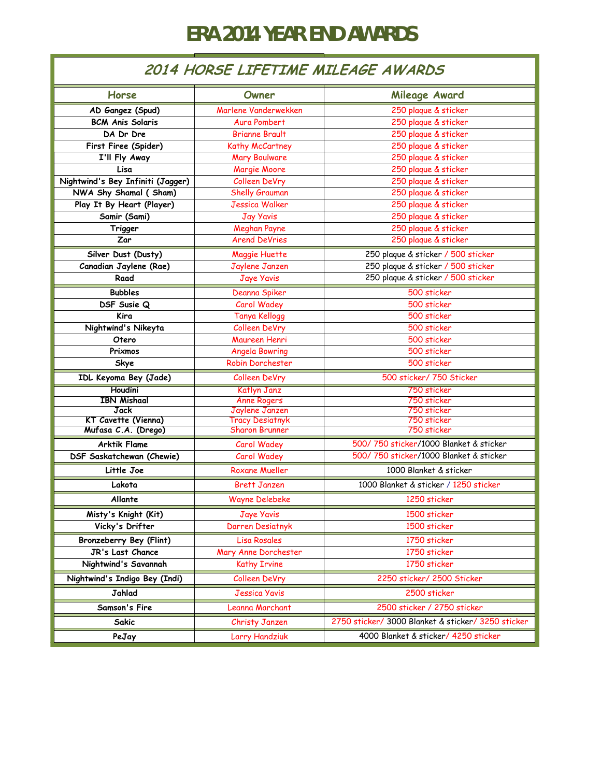## **ERA 2014 YEAR END AWARDS**

## **2014 HORSE LIFETIME MILEAGE AWARDS**

| Horse                             | Owner                                    | Mileage Award                                      |  |
|-----------------------------------|------------------------------------------|----------------------------------------------------|--|
| AD Gangez (Spud)                  | Marlene Vanderwekken                     | 250 plaque & sticker                               |  |
| <b>BCM Anis Solaris</b>           | <b>Aura Pombert</b>                      | 250 plaque & sticker                               |  |
| DA Dr Dre                         | <b>Brianne Brault</b>                    | 250 plaque & sticker                               |  |
| First Firee (Spider)              | Kathy McCartney                          | 250 plaque & sticker                               |  |
| I'll Fly Away                     | <b>Mary Boulware</b>                     | 250 plaque & sticker                               |  |
| Lisa                              | Margie Moore                             | 250 plaque & sticker                               |  |
| Nightwind's Bey Infiniti (Jagger) | Colleen DeVry                            | 250 plaque & sticker                               |  |
| NWA Shy Shamal (Sham)             | Shelly Grauman                           | 250 plaque & sticker                               |  |
| Play It By Heart (Player)         | <b>Jessica Walker</b>                    | 250 plaque & sticker                               |  |
| Samir (Sami)                      | <b>Jay Yavis</b>                         | 250 plaque & sticker                               |  |
| Trigger                           | <b>Meghan Payne</b>                      | 250 plaque & sticker                               |  |
| Zar                               | <b>Arend DeVries</b>                     | 250 plaque & sticker                               |  |
| Silver Dust (Dusty)               | Maggie Huette                            | 250 plaque & sticker / 500 sticker                 |  |
| Canadian Jaylene (Rae)            | Jaylene Janzen                           | 250 plaque & sticker / 500 sticker                 |  |
| Raad                              | Jaye Yavis                               | 250 plaque & sticker / 500 sticker                 |  |
| <b>Bubbles</b>                    | Deanna Spiker                            | 500 sticker                                        |  |
| DSF Susie Q                       | Carol Wadey                              | 500 sticker                                        |  |
| Kira                              | <b>Tanya Kellogg</b>                     | 500 sticker                                        |  |
| Nightwind's Nikeyta               | Colleen DeVry                            | 500 sticker                                        |  |
| Otero                             | Maureen Henri                            | 500 sticker                                        |  |
| Prixmos                           | <b>Angela Bowring</b>                    | 500 sticker                                        |  |
| Skye                              | Robin Dorchester                         | 500 sticker                                        |  |
| IDL Keyoma Bey (Jade)             | Colleen DeVry                            | 500 sticker/ 750 Sticker                           |  |
| <b>Houdini</b>                    | Katlyn Janz                              | 750 sticker                                        |  |
| <b>IBN Mishaal</b>                | <b>Anne Rogers</b>                       | 750 sticker                                        |  |
| Jack<br>KT Cavette (Vienna)       | Jaylene Janzen<br><b>Tracy Desiatnyk</b> | 750 sticker<br>750 sticker                         |  |
| Mufasa C.A. (Drego)               | <b>Sharon Brunner</b>                    | 750 sticker                                        |  |
| <b>Arktik Flame</b>               | Carol Wadey                              | 500/750 sticker/1000 Blanket & sticker             |  |
| DSF Saskatchewan (Chewie)         | Carol Wadey                              | 500/750 sticker/1000 Blanket & sticker             |  |
| Little Joe                        | <b>Roxane Mueller</b>                    | 1000 Blanket & sticker                             |  |
| Lakota                            | <b>Brett Janzen</b>                      | 1000 Blanket & sticker / 1250 sticker              |  |
| Allante                           | <b>Wayne Delebeke</b>                    | 1250 sticker                                       |  |
| Misty's Knight (Kit)              | <b>Jaye Yavis</b>                        | 1500 sticker                                       |  |
| Vicky's Drifter                   | Darren Desiatnyk                         | 1500 sticker                                       |  |
| Bronzeberry Bey (Flint)           | <b>Lisa Rosales</b>                      | 1750 sticker                                       |  |
| JR's Last Chance                  | Mary Anne Dorchester                     | 1750 sticker                                       |  |
| Nightwind's Savannah              | <b>Kathy Irvine</b>                      | 1750 sticker                                       |  |
| Nightwind's Indigo Bey (Indi)     | Colleen DeVry                            | 2250 sticker/ 2500 Sticker                         |  |
| Jahlad                            | <b>Jessica Yavis</b>                     | 2500 sticker                                       |  |
| Samson's Fire                     | Leanna Marchant                          | 2500 sticker / 2750 sticker                        |  |
| Sakic                             | Christy Janzen                           | 2750 sticker/ 3000 Blanket & sticker/ 3250 sticker |  |
| PeJay                             | Larry Handziuk                           | 4000 Blanket & sticker/ 4250 sticker               |  |